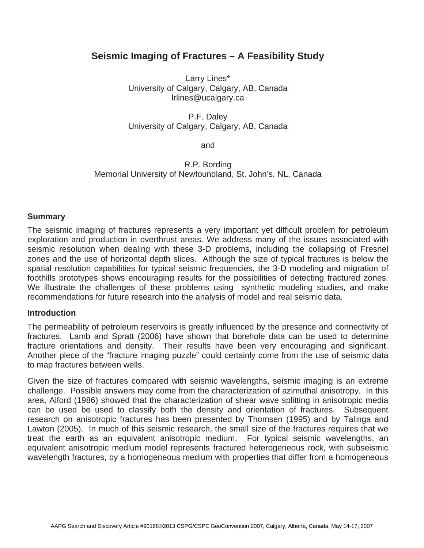# **Seismic Imaging of Fractures – A Feasibility Study**

Larry Lines\* University of Calgary, Calgary, AB, Canada lrlines@ucalgary.ca

P.F. Daley University of Calgary, Calgary, AB, Canada

and

R.P. Bording Memorial University of Newfoundland, St. John's, NL, Canada

#### **Summary**

The seismic imaging of fractures represents a very important yet difficult problem for petroleum exploration and production in overthrust areas. We address many of the issues associated with seismic resolution when dealing with these 3-D problems, including the collapsing of Fresnel zones and the use of horizontal depth slices. Although the size of typical fractures is below the spatial resolution capabilities for typical seismic frequencies, the 3-D modeling and migration of foothills prototypes shows encouraging results for the possibilities of detecting fractured zones. We illustrate the challenges of these problems using synthetic modeling studies, and make recommendations for future research into the analysis of model and real seismic data.

#### **Introduction**

The permeability of petroleum reservoirs is greatly influenced by the presence and connectivity of fractures. Lamb and Spratt (2006) have shown that borehole data can be used to determine fracture orientations and density. Their results have been very encouraging and significant. Another piece of the "fracture imaging puzzle" could certainly come from the use of seismic data to map fractures between wells.

Given the size of fractures compared with seismic wavelengths, seismic imaging is an extreme challenge. Possible answers may come from the characterization of azimuthal anisotropy. In this area, Alford (1986) showed that the characterization of shear wave splitting in anisotropic media can be used be used to classify both the density and orientation of fractures. Subsequent research on anisotropic fractures has been presented by Thomsen (1995) and by Talinga and Lawton (2005). In much of this seismic research, the small size of the fractures requires that we treat the earth as an equivalent anisotropic medium. For typical seismic wavelengths, an equivalent anisotropic medium model represents fractured heterogeneous rock, with subseismic wavelength fractures, by a homogeneous medium with properties that differ from a homogeneous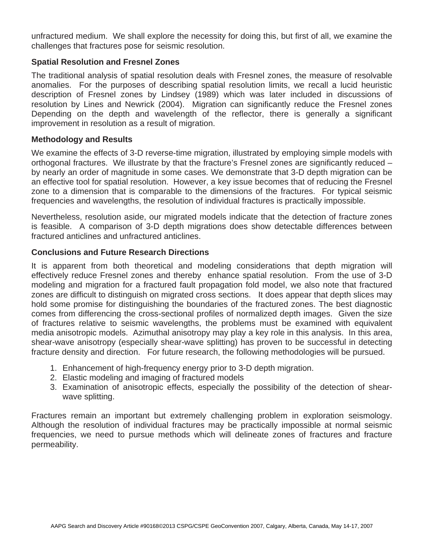unfractured medium. We shall explore the necessity for doing this, but first of all, we examine the challenges that fractures pose for seismic resolution.

# **Spatial Resolution and Fresnel Zones**

The traditional analysis of spatial resolution deals with Fresnel zones, the measure of resolvable anomalies. For the purposes of describing spatial resolution limits, we recall a lucid heuristic description of Fresnel zones by Lindsey (1989) which was later included in discussions of resolution by Lines and Newrick (2004). Migration can significantly reduce the Fresnel zones Depending on the depth and wavelength of the reflector, there is generally a significant improvement in resolution as a result of migration.

# **Methodology and Results**

We examine the effects of 3-D reverse-time migration, illustrated by employing simple models with orthogonal fractures. We illustrate by that the fracture's Fresnel zones are significantly reduced – by nearly an order of magnitude in some cases. We demonstrate that 3-D depth migration can be an effective tool for spatial resolution. However, a key issue becomes that of reducing the Fresnel zone to a dimension that is comparable to the dimensions of the fractures. For typical seismic frequencies and wavelengths, the resolution of individual fractures is practically impossible.

Nevertheless, resolution aside, our migrated models indicate that the detection of fracture zones is feasible. A comparison of 3-D depth migrations does show detectable differences between fractured anticlines and unfractured anticlines.

# **Conclusions and Future Research Directions**

It is apparent from both theoretical and modeling considerations that depth migration will effectively reduce Fresnel zones and thereby enhance spatial resolution. From the use of 3-D modeling and migration for a fractured fault propagation fold model, we also note that fractured zones are difficult to distinguish on migrated cross sections. It does appear that depth slices may hold some promise for distinguishing the boundaries of the fractured zones. The best diagnostic comes from differencing the cross-sectional profiles of normalized depth images. Given the size of fractures relative to seismic wavelengths, the problems must be examined with equivalent media anisotropic models. Azimuthal anisotropy may play a key role in this analysis. In this area, shear-wave anisotropy (especially shear-wave splitting) has proven to be successful in detecting fracture density and direction. For future research, the following methodologies will be pursued.

- 1. Enhancement of high-frequency energy prior to 3-D depth migration.
- 2. Elastic modeling and imaging of fractured models
- 3. Examination of anisotropic effects, especially the possibility of the detection of shearwave splitting.

Fractures remain an important but extremely challenging problem in exploration seismology. Although the resolution of individual fractures may be practically impossible at normal seismic frequencies, we need to pursue methods which will delineate zones of fractures and fracture permeability.